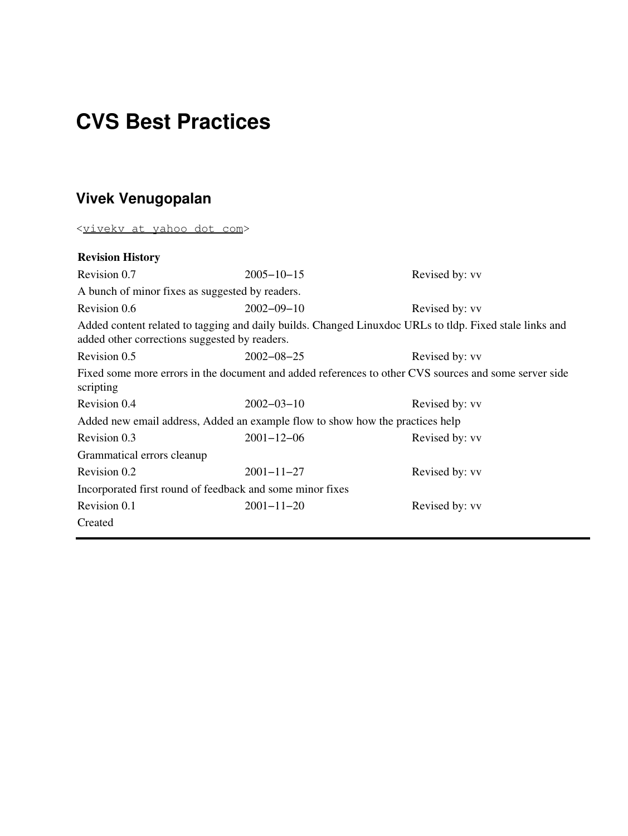### **CVS Best Practices**

#### **Vivek Venugopalan**

<[vivekv at yahoo dot com](mailto:vivekv at yahoo dot com)>

#### **Revision History**

Revision 0.7 2005−10−15 Revised by: vv A bunch of minor fixes as suggested by readers. Revision 0.6 2002−09−10 Revised by: vv Added content related to tagging and daily builds. Changed Linuxdoc URLs to tldp. Fixed stale links and added other corrections suggested by readers. Revision 0.5 2002−08−25 Revised by: vv Fixed some more errors in the document and added references to other CVS sources and some server side scripting Revision 0.4 2002−03−10 Revised by: vv Added new email address, Added an example flow to show how the practices help Revision 0.3 2001−12−06 Revised by: vv Grammatical errors cleanup Revision 0.2 2001−11−27 Revised by: vv Incorporated first round of feedback and some minor fixes Revision 0.1 2001−11−20 Revised by: vv Created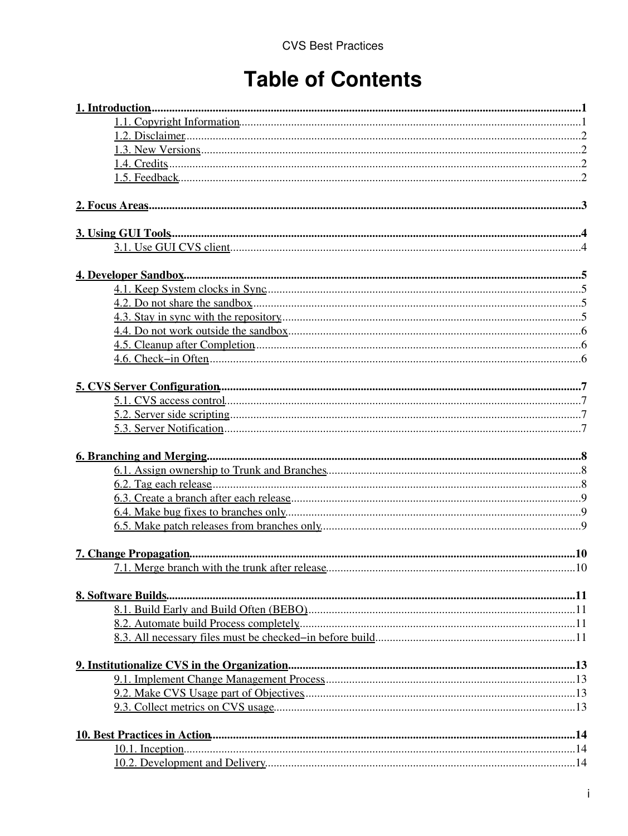## **Table of Contents**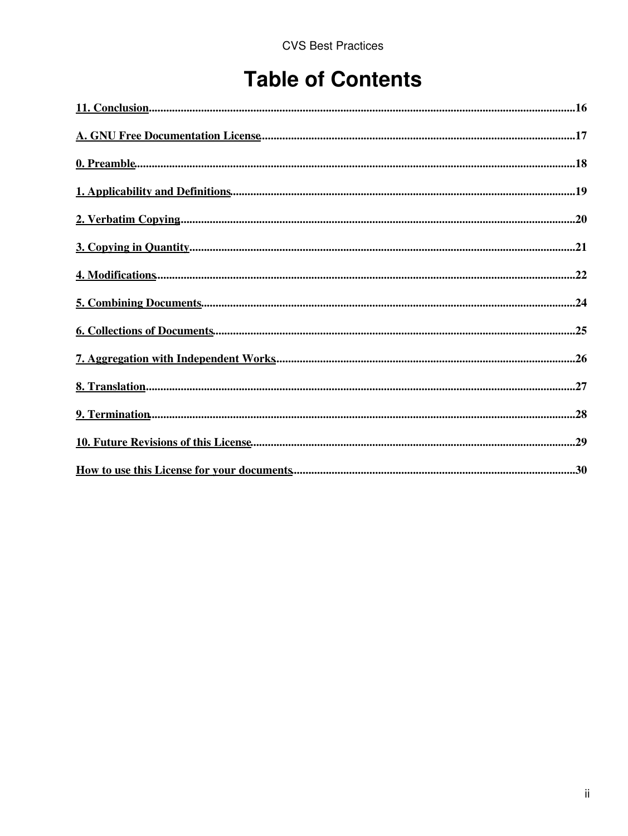## **Table of Contents**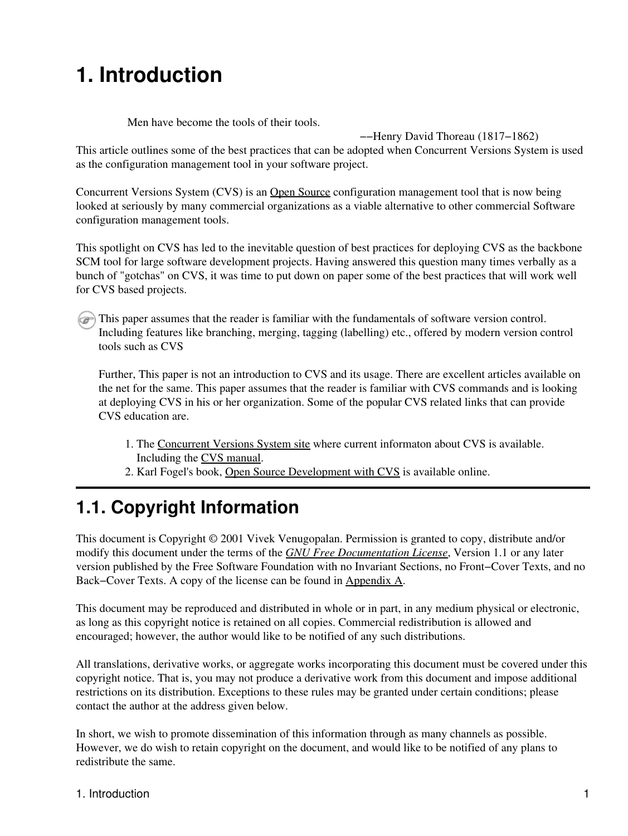## <span id="page-3-0"></span>**1. Introduction**

Men have become the tools of their tools.

−−Henry David Thoreau (1817−1862)

This article outlines some of the best practices that can be adopted when Concurrent Versions System is used as the configuration management tool in your software project.

Concurrent Versions System (CVS) is an [Open Source](http://www.opensource.org) configuration management tool that is now being looked at seriously by many commercial organizations as a viable alternative to other commercial Software configuration management tools.

This spotlight on CVS has led to the inevitable question of best practices for deploying CVS as the backbone SCM tool for large software development projects. Having answered this question many times verbally as a bunch of "gotchas" on CVS, it was time to put down on paper some of the best practices that will work well for CVS based projects.

This paper assumes that the reader is familiar with the fundamentals of software version control. Including features like branching, merging, tagging (labelling) etc., offered by modern version control tools such as CVS

Further, This paper is not an introduction to CVS and its usage. There are excellent articles available on the net for the same. This paper assumes that the reader is familiar with CVS commands and is looking at deploying CVS in his or her organization. Some of the popular CVS related links that can provide CVS education are.

- 1. The [Concurrent Versions System site](http://ximbiot.com/cvs/wiki/index.php?title=Main_Page) where current informaton about CVS is available. Including the [CVS manual](http://ximbiot.com/cvs/wiki/index.php?title=Cederqvist).
- 2. Karl Fogel's book, [Open Source Development with CVS](http://cvsbook.red-bean.com) is available online.

#### <span id="page-3-1"></span>**1.1. Copyright Information**

This document is Copyright © 2001 Vivek Venugopalan. Permission is granted to copy, distribute and/or modify this document under the terms of the *[GNU Free Documentation License](#page-19-0)*, Version 1.1 or any later version published by the Free Software Foundation with no Invariant Sections, no Front−Cover Texts, and no Back−Cover Texts. A copy of the license can be found in [Appendix A.](#page-19-0)

This document may be reproduced and distributed in whole or in part, in any medium physical or electronic, as long as this copyright notice is retained on all copies. Commercial redistribution is allowed and encouraged; however, the author would like to be notified of any such distributions.

All translations, derivative works, or aggregate works incorporating this document must be covered under this copyright notice. That is, you may not produce a derivative work from this document and impose additional restrictions on its distribution. Exceptions to these rules may be granted under certain conditions; please contact the author at the address given below.

In short, we wish to promote dissemination of this information through as many channels as possible. However, we do wish to retain copyright on the document, and would like to be notified of any plans to redistribute the same.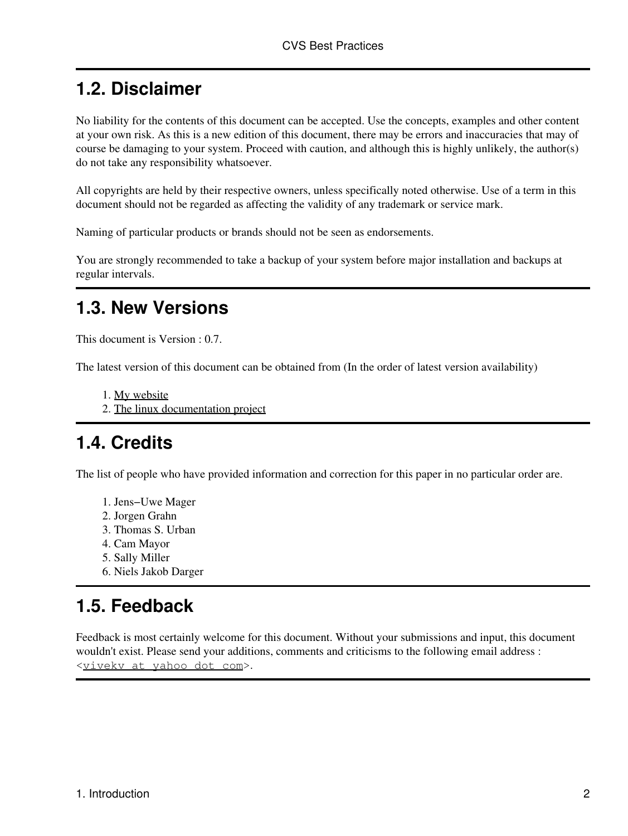#### <span id="page-4-0"></span>**1.2. Disclaimer**

No liability for the contents of this document can be accepted. Use the concepts, examples and other content at your own risk. As this is a new edition of this document, there may be errors and inaccuracies that may of course be damaging to your system. Proceed with caution, and although this is highly unlikely, the author(s) do not take any responsibility whatsoever.

All copyrights are held by their respective owners, unless specifically noted otherwise. Use of a term in this document should not be regarded as affecting the validity of any trademark or service mark.

Naming of particular products or brands should not be seen as endorsements.

You are strongly recommended to take a backup of your system before major installation and backups at regular intervals.

#### <span id="page-4-1"></span>**1.3. New Versions**

This document is Version : 0.7.

The latest version of this document can be obtained from (In the order of latest version availability)

- 1. [My website](http://www.sanchivi.com/cm/cvs-bestpractices/index.html)
- 2. [The linux documentation project](http://tldp.org/REF/CVS-BestPractices/html/index.html)

#### <span id="page-4-2"></span>**1.4. Credits**

The list of people who have provided information and correction for this paper in no particular order are.

- 1. Jens−Uwe Mager
- 2. Jorgen Grahn
- 3. Thomas S. Urban
- 4. Cam Mayor
- 5. Sally Miller
- 6. Niels Jakob Darger

#### <span id="page-4-3"></span>**1.5. Feedback**

Feedback is most certainly welcome for this document. Without your submissions and input, this document wouldn't exist. Please send your additions, comments and criticisms to the following email address : <[vivekv at yahoo dot com](mailto:vivekv at yahoo dot com)>.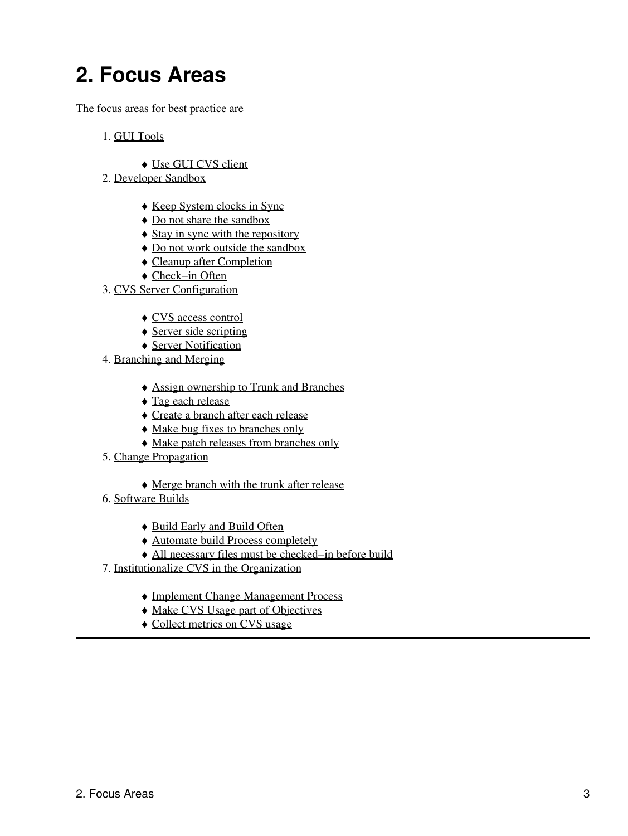## <span id="page-5-0"></span>**2. Focus Areas**

The focus areas for best practice are

- 1. [GUI Tools](#page-6-0)
	- ♦ [Use GUI CVS client](#page-6-1)
- 2. [Developer Sandbox](#page-7-0)
	- ♦ [Keep System clocks in Sync](#page-7-1)
	- ♦ [Do not share the sandbox](#page-7-2)
	- ♦ [Stay in sync with the repository](#page-7-3)
	- ♦ [Do not work outside the sandbox](#page-8-0)
	- ♦ [Cleanup after Completion](#page-8-1)
	- ♦ [Check−in Often](#page-8-2)
- 3. [CVS Server Configuration](#page-9-0)
	- ♦ [CVS access control](#page-9-1)
	- ♦ [Server side scripting](#page-9-2)
	- ♦ [Server Notification](#page-9-3)
- 4. [Branching and Merging](#page-10-0)
	- ♦ [Assign ownership to Trunk and Branches](#page-10-1)
	- ♦ [Tag each release](#page-10-2)
	- ♦ [Create a branch after each release](#page-11-0)
	- ♦ [Make bug fixes to branches only](#page-11-1)
	- ♦ [Make patch releases from branches only](#page-11-2)
- 5. [Change Propagation](#page-12-0)
	- ♦ [Merge branch with the trunk after release](#page-12-1)
- 6. [Software Builds](#page-13-0)
	- ♦ [Build Early and Build Often](#page-13-1)
	- ♦ [Automate build Process completely](#page-13-2)
	- ♦ [All necessary files must be checked−in before build](#page-13-3)
- 7. [Institutionalize CVS in the Organization](#page-15-0)
	- ♦ [Implement Change Management Process](#page-15-1)
	- ♦ [Make CVS Usage part of Objectives](#page-15-2)
	- ♦ [Collect metrics on CVS usage](#page-15-3)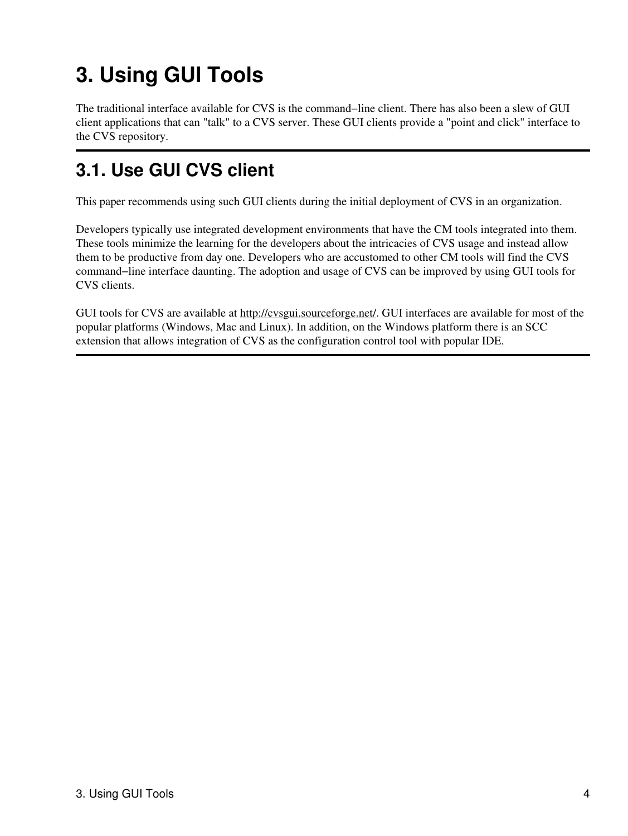# <span id="page-6-0"></span>**3. Using GUI Tools**

The traditional interface available for CVS is the command−line client. There has also been a slew of GUI client applications that can "talk" to a CVS server. These GUI clients provide a "point and click" interface to the CVS repository.

### <span id="page-6-1"></span>**3.1. Use GUI CVS client**

This paper recommends using such GUI clients during the initial deployment of CVS in an organization.

Developers typically use integrated development environments that have the CM tools integrated into them. These tools minimize the learning for the developers about the intricacies of CVS usage and instead allow them to be productive from day one. Developers who are accustomed to other CM tools will find the CVS command−line interface daunting. The adoption and usage of CVS can be improved by using GUI tools for CVS clients.

GUI tools for CVS are available at <http://cvsgui.sourceforge.net/>. GUI interfaces are available for most of the popular platforms (Windows, Mac and Linux). In addition, on the Windows platform there is an SCC extension that allows integration of CVS as the configuration control tool with popular IDE.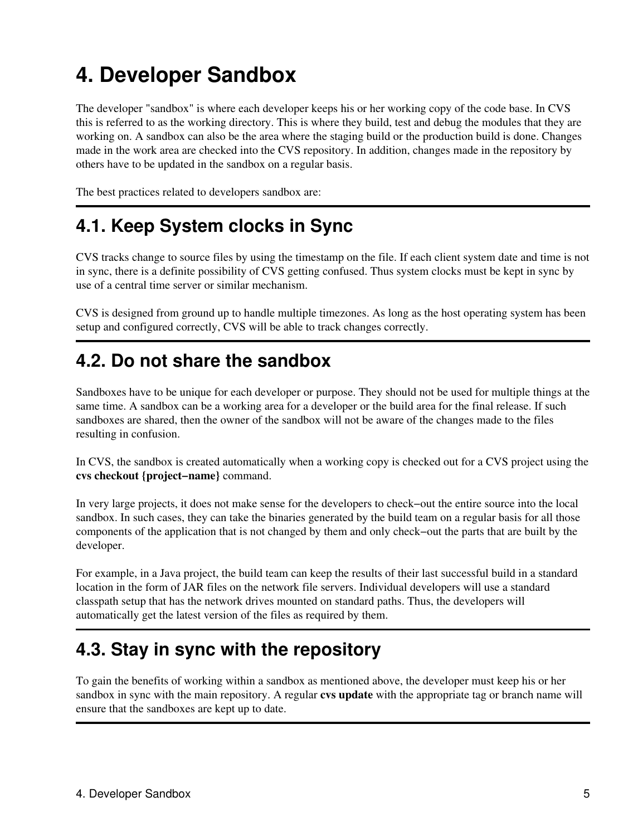## <span id="page-7-0"></span>**4. Developer Sandbox**

The developer "sandbox" is where each developer keeps his or her working copy of the code base. In CVS this is referred to as the working directory. This is where they build, test and debug the modules that they are working on. A sandbox can also be the area where the staging build or the production build is done. Changes made in the work area are checked into the CVS repository. In addition, changes made in the repository by others have to be updated in the sandbox on a regular basis.

The best practices related to developers sandbox are:

### <span id="page-7-1"></span>**4.1. Keep System clocks in Sync**

CVS tracks change to source files by using the timestamp on the file. If each client system date and time is not in sync, there is a definite possibility of CVS getting confused. Thus system clocks must be kept in sync by use of a central time server or similar mechanism.

CVS is designed from ground up to handle multiple timezones. As long as the host operating system has been setup and configured correctly, CVS will be able to track changes correctly.

#### <span id="page-7-2"></span>**4.2. Do not share the sandbox**

Sandboxes have to be unique for each developer or purpose. They should not be used for multiple things at the same time. A sandbox can be a working area for a developer or the build area for the final release. If such sandboxes are shared, then the owner of the sandbox will not be aware of the changes made to the files resulting in confusion.

In CVS, the sandbox is created automatically when a working copy is checked out for a CVS project using the **cvs checkout {project−name}** command.

In very large projects, it does not make sense for the developers to check−out the entire source into the local sandbox. In such cases, they can take the binaries generated by the build team on a regular basis for all those components of the application that is not changed by them and only check−out the parts that are built by the developer.

For example, in a Java project, the build team can keep the results of their last successful build in a standard location in the form of JAR files on the network file servers. Individual developers will use a standard classpath setup that has the network drives mounted on standard paths. Thus, the developers will automatically get the latest version of the files as required by them.

#### <span id="page-7-3"></span>**4.3. Stay in sync with the repository**

To gain the benefits of working within a sandbox as mentioned above, the developer must keep his or her sandbox in sync with the main repository. A regular **cvs update** with the appropriate tag or branch name will ensure that the sandboxes are kept up to date.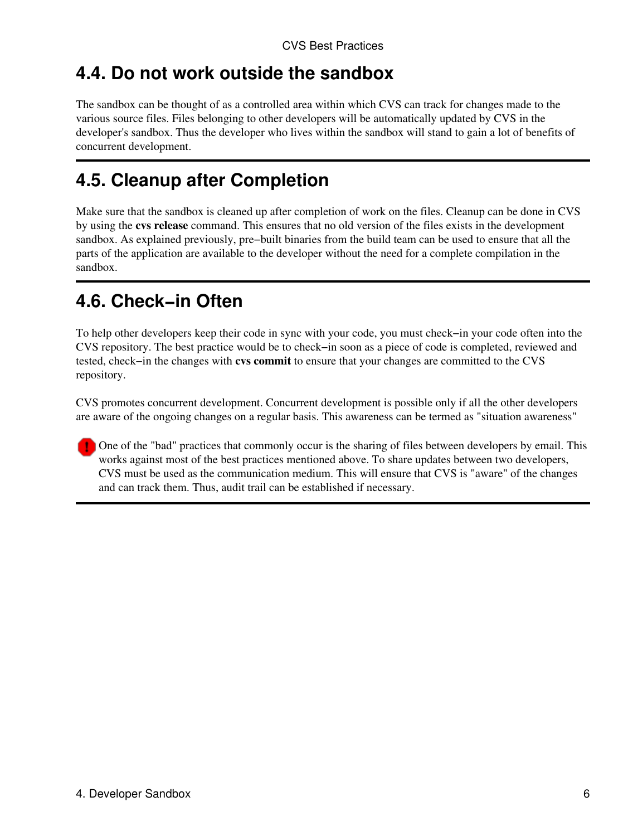#### <span id="page-8-0"></span>**4.4. Do not work outside the sandbox**

The sandbox can be thought of as a controlled area within which CVS can track for changes made to the various source files. Files belonging to other developers will be automatically updated by CVS in the developer's sandbox. Thus the developer who lives within the sandbox will stand to gain a lot of benefits of concurrent development.

#### <span id="page-8-1"></span>**4.5. Cleanup after Completion**

Make sure that the sandbox is cleaned up after completion of work on the files. Cleanup can be done in CVS by using the **cvs release** command. This ensures that no old version of the files exists in the development sandbox. As explained previously, pre−built binaries from the build team can be used to ensure that all the parts of the application are available to the developer without the need for a complete compilation in the sandbox.

### <span id="page-8-2"></span>**4.6. Check−in Often**

To help other developers keep their code in sync with your code, you must check−in your code often into the CVS repository. The best practice would be to check−in soon as a piece of code is completed, reviewed and tested, check−in the changes with **cvs commit** to ensure that your changes are committed to the CVS repository.

CVS promotes concurrent development. Concurrent development is possible only if all the other developers are aware of the ongoing changes on a regular basis. This awareness can be termed as "situation awareness"

One of the "bad" practices that commonly occur is the sharing of files between developers by email. This works against most of the best practices mentioned above. To share updates between two developers, CVS must be used as the communication medium. This will ensure that CVS is "aware" of the changes and can track them. Thus, audit trail can be established if necessary.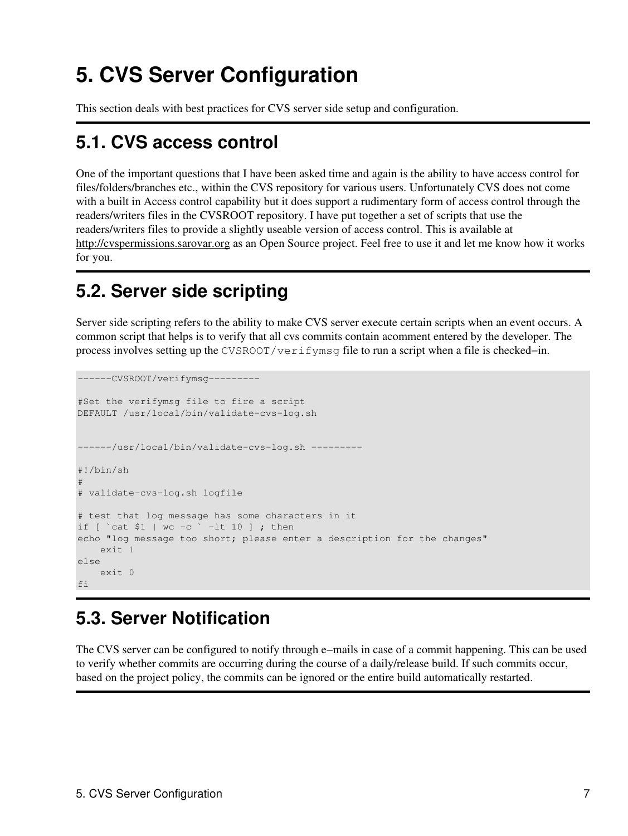## <span id="page-9-0"></span>**5. CVS Server Configuration**

This section deals with best practices for CVS server side setup and configuration.

### <span id="page-9-1"></span>**5.1. CVS access control**

One of the important questions that I have been asked time and again is the ability to have access control for files/folders/branches etc., within the CVS repository for various users. Unfortunately CVS does not come with a built in Access control capability but it does support a rudimentary form of access control through the readers/writers files in the CVSROOT repository. I have put together a set of scripts that use the readers/writers files to provide a slightly useable version of access control. This is available at <http://cvspermissions.sarovar.org> as an Open Source project. Feel free to use it and let me know how it works for you.

### <span id="page-9-2"></span>**5.2. Server side scripting**

Server side scripting refers to the ability to make CVS server execute certain scripts when an event occurs. A common script that helps is to verify that all cvs commits contain acomment entered by the developer. The process involves setting up the CVSROOT/verifymsq file to run a script when a file is checked–in.

```
−−−−−−CVSROOT/verifymsg−−−−−−−−−
#Set the verifymsg file to fire a script
DEFAULT /usr/local/bin/validate−cvs−log.sh
−−−−−−/usr/local/bin/validate−cvs−log.sh −−−−−−−−−
#!/bin/sh
#
# validate−cvs−log.sh logfile
# test that log message has some characters in it
if [ `cat $1 | wc −c ` −lt 10 ] ; then
echo "log message too short; please enter a description for the changes"
     exit 1
else
     exit 0
f_i
```
### <span id="page-9-3"></span>**5.3. Server Notification**

The CVS server can be configured to notify through e−mails in case of a commit happening. This can be used to verify whether commits are occurring during the course of a daily/release build. If such commits occur, based on the project policy, the commits can be ignored or the entire build automatically restarted.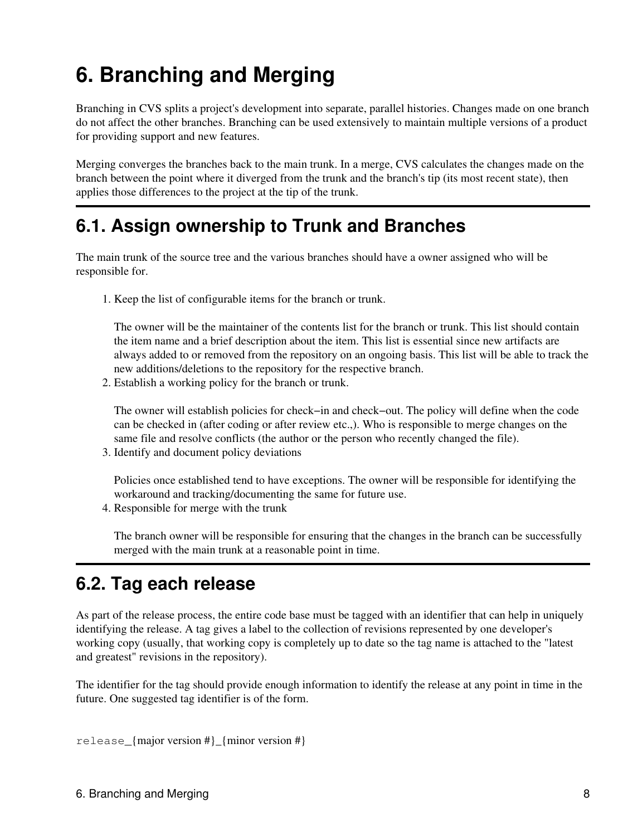# <span id="page-10-0"></span>**6. Branching and Merging**

Branching in CVS splits a project's development into separate, parallel histories. Changes made on one branch do not affect the other branches. Branching can be used extensively to maintain multiple versions of a product for providing support and new features.

Merging converges the branches back to the main trunk. In a merge, CVS calculates the changes made on the branch between the point where it diverged from the trunk and the branch's tip (its most recent state), then applies those differences to the project at the tip of the trunk.

#### <span id="page-10-1"></span>**6.1. Assign ownership to Trunk and Branches**

The main trunk of the source tree and the various branches should have a owner assigned who will be responsible for.

1. Keep the list of configurable items for the branch or trunk.

The owner will be the maintainer of the contents list for the branch or trunk. This list should contain the item name and a brief description about the item. This list is essential since new artifacts are always added to or removed from the repository on an ongoing basis. This list will be able to track the new additions/deletions to the repository for the respective branch.

2. Establish a working policy for the branch or trunk.

The owner will establish policies for check–in and check–out. The policy will define when the code can be checked in (after coding or after review etc.,). Who is responsible to merge changes on the same file and resolve conflicts (the author or the person who recently changed the file).

3. Identify and document policy deviations

Policies once established tend to have exceptions. The owner will be responsible for identifying the workaround and tracking/documenting the same for future use.

4. Responsible for merge with the trunk

The branch owner will be responsible for ensuring that the changes in the branch can be successfully merged with the main trunk at a reasonable point in time.

#### <span id="page-10-2"></span>**6.2. Tag each release**

As part of the release process, the entire code base must be tagged with an identifier that can help in uniquely identifying the release. A tag gives a label to the collection of revisions represented by one developer's working copy (usually, that working copy is completely up to date so the tag name is attached to the "latest and greatest" revisions in the repository).

The identifier for the tag should provide enough information to identify the release at any point in time in the future. One suggested tag identifier is of the form.

release\_{major version #}\_{minor version #}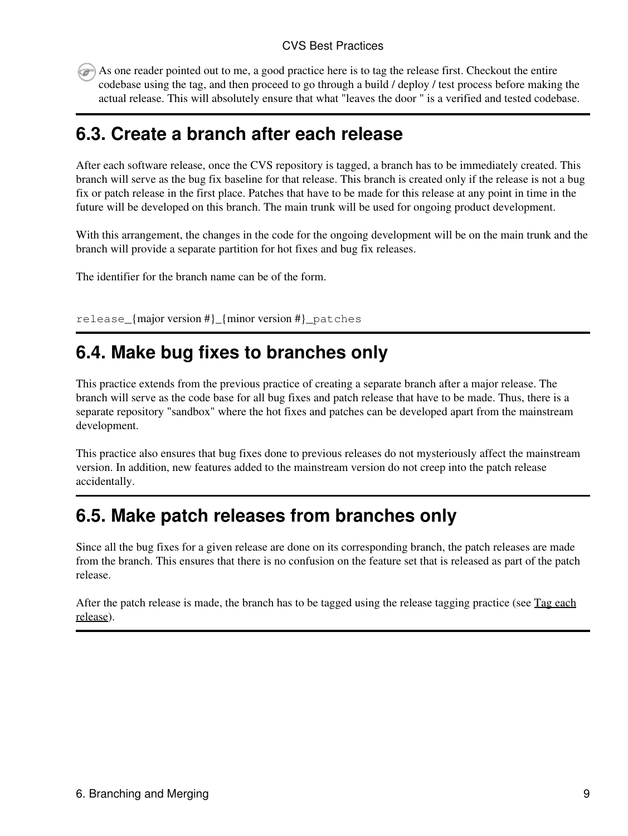As one reader pointed out to me, a good practice here is to tag the release first. Checkout the entire codebase using the tag, and then proceed to go through a build / deploy / test process before making the actual release. This will absolutely ensure that what "leaves the door " is a verified and tested codebase.

#### <span id="page-11-0"></span>**6.3. Create a branch after each release**

After each software release, once the CVS repository is tagged, a branch has to be immediately created. This branch will serve as the bug fix baseline for that release. This branch is created only if the release is not a bug fix or patch release in the first place. Patches that have to be made for this release at any point in time in the future will be developed on this branch. The main trunk will be used for ongoing product development.

With this arrangement, the changes in the code for the ongoing development will be on the main trunk and the branch will provide a separate partition for hot fixes and bug fix releases.

The identifier for the branch name can be of the form.

release\_{major version #}\_{minor version #}\_patches

#### <span id="page-11-1"></span>**6.4. Make bug fixes to branches only**

This practice extends from the previous practice of creating a separate branch after a major release. The branch will serve as the code base for all bug fixes and patch release that have to be made. Thus, there is a separate repository "sandbox" where the hot fixes and patches can be developed apart from the mainstream development.

This practice also ensures that bug fixes done to previous releases do not mysteriously affect the mainstream version. In addition, new features added to the mainstream version do not creep into the patch release accidentally.

#### <span id="page-11-2"></span>**6.5. Make patch releases from branches only**

Since all the bug fixes for a given release are done on its corresponding branch, the patch releases are made from the branch. This ensures that there is no confusion on the feature set that is released as part of the patch release.

After the patch release is made, the branch has to be tagged using the release tagging practice (see [Tag each](#page-10-2) [release](#page-10-2)).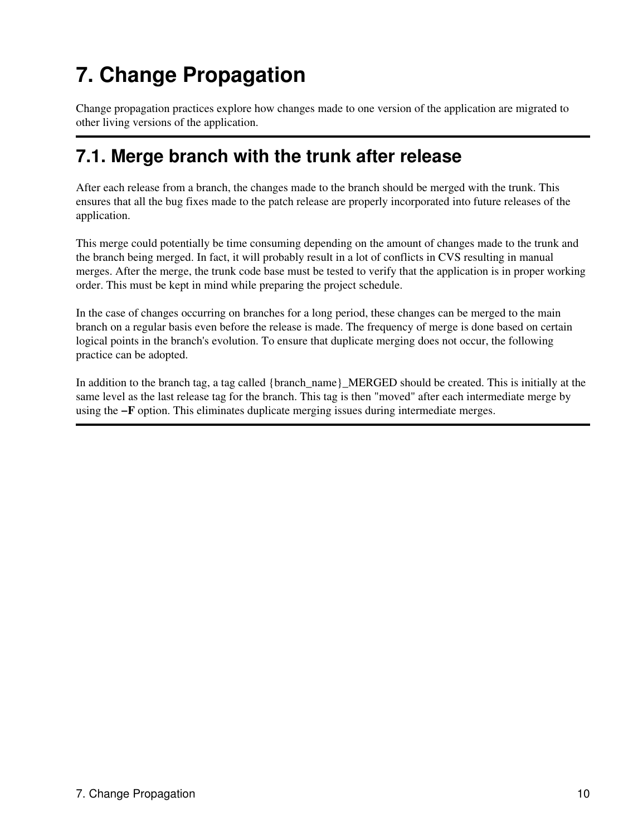# <span id="page-12-0"></span>**7. Change Propagation**

Change propagation practices explore how changes made to one version of the application are migrated to other living versions of the application.

#### <span id="page-12-1"></span>**7.1. Merge branch with the trunk after release**

After each release from a branch, the changes made to the branch should be merged with the trunk. This ensures that all the bug fixes made to the patch release are properly incorporated into future releases of the application.

This merge could potentially be time consuming depending on the amount of changes made to the trunk and the branch being merged. In fact, it will probably result in a lot of conflicts in CVS resulting in manual merges. After the merge, the trunk code base must be tested to verify that the application is in proper working order. This must be kept in mind while preparing the project schedule.

In the case of changes occurring on branches for a long period, these changes can be merged to the main branch on a regular basis even before the release is made. The frequency of merge is done based on certain logical points in the branch's evolution. To ensure that duplicate merging does not occur, the following practice can be adopted.

In addition to the branch tag, a tag called {branch\_name}\_MERGED should be created. This is initially at the same level as the last release tag for the branch. This tag is then "moved" after each intermediate merge by using the **−F** option. This eliminates duplicate merging issues during intermediate merges.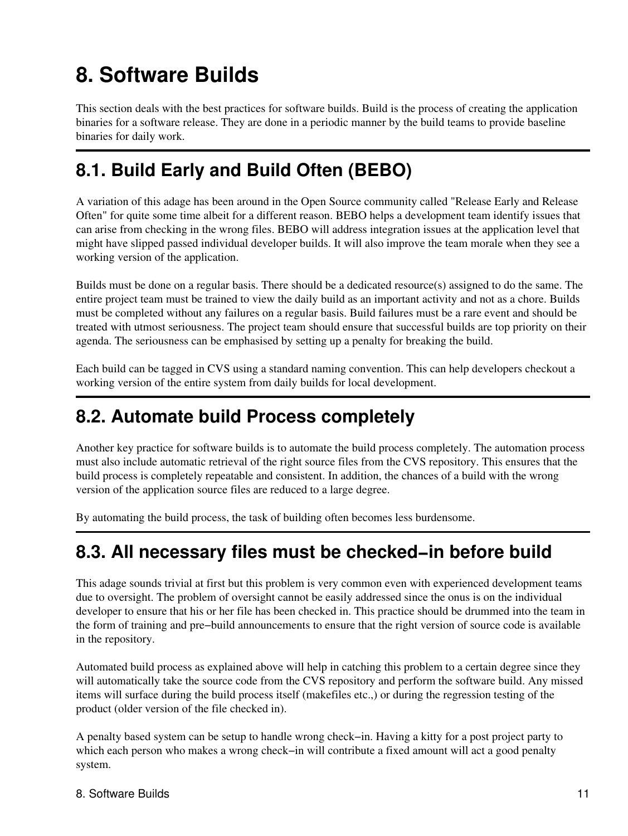# <span id="page-13-0"></span>**8. Software Builds**

This section deals with the best practices for software builds. Build is the process of creating the application binaries for a software release. They are done in a periodic manner by the build teams to provide baseline binaries for daily work.

### <span id="page-13-1"></span>**8.1. Build Early and Build Often (BEBO)**

A variation of this adage has been around in the Open Source community called "Release Early and Release Often" for quite some time albeit for a different reason. BEBO helps a development team identify issues that can arise from checking in the wrong files. BEBO will address integration issues at the application level that might have slipped passed individual developer builds. It will also improve the team morale when they see a working version of the application.

Builds must be done on a regular basis. There should be a dedicated resource(s) assigned to do the same. The entire project team must be trained to view the daily build as an important activity and not as a chore. Builds must be completed without any failures on a regular basis. Build failures must be a rare event and should be treated with utmost seriousness. The project team should ensure that successful builds are top priority on their agenda. The seriousness can be emphasised by setting up a penalty for breaking the build.

Each build can be tagged in CVS using a standard naming convention. This can help developers checkout a working version of the entire system from daily builds for local development.

### <span id="page-13-2"></span>**8.2. Automate build Process completely**

Another key practice for software builds is to automate the build process completely. The automation process must also include automatic retrieval of the right source files from the CVS repository. This ensures that the build process is completely repeatable and consistent. In addition, the chances of a build with the wrong version of the application source files are reduced to a large degree.

By automating the build process, the task of building often becomes less burdensome.

### <span id="page-13-3"></span>**8.3. All necessary files must be checked−in before build**

This adage sounds trivial at first but this problem is very common even with experienced development teams due to oversight. The problem of oversight cannot be easily addressed since the onus is on the individual developer to ensure that his or her file has been checked in. This practice should be drummed into the team in the form of training and pre−build announcements to ensure that the right version of source code is available in the repository.

Automated build process as explained above will help in catching this problem to a certain degree since they will automatically take the source code from the CVS repository and perform the software build. Any missed items will surface during the build process itself (makefiles etc.,) or during the regression testing of the product (older version of the file checked in).

A penalty based system can be setup to handle wrong check−in. Having a kitty for a post project party to which each person who makes a wrong check−in will contribute a fixed amount will act a good penalty system.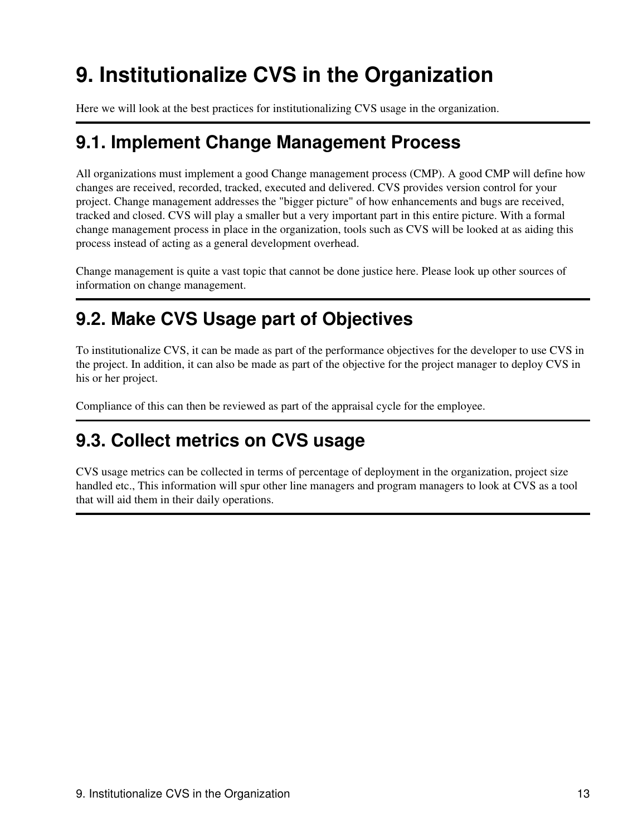# <span id="page-15-0"></span>**9. Institutionalize CVS in the Organization**

Here we will look at the best practices for institutionalizing CVS usage in the organization.

#### <span id="page-15-1"></span>**9.1. Implement Change Management Process**

All organizations must implement a good Change management process (CMP). A good CMP will define how changes are received, recorded, tracked, executed and delivered. CVS provides version control for your project. Change management addresses the "bigger picture" of how enhancements and bugs are received, tracked and closed. CVS will play a smaller but a very important part in this entire picture. With a formal change management process in place in the organization, tools such as CVS will be looked at as aiding this process instead of acting as a general development overhead.

Change management is quite a vast topic that cannot be done justice here. Please look up other sources of information on change management.

#### <span id="page-15-2"></span>**9.2. Make CVS Usage part of Objectives**

To institutionalize CVS, it can be made as part of the performance objectives for the developer to use CVS in the project. In addition, it can also be made as part of the objective for the project manager to deploy CVS in his or her project.

Compliance of this can then be reviewed as part of the appraisal cycle for the employee.

#### <span id="page-15-3"></span>**9.3. Collect metrics on CVS usage**

CVS usage metrics can be collected in terms of percentage of deployment in the organization, project size handled etc., This information will spur other line managers and program managers to look at CVS as a tool that will aid them in their daily operations.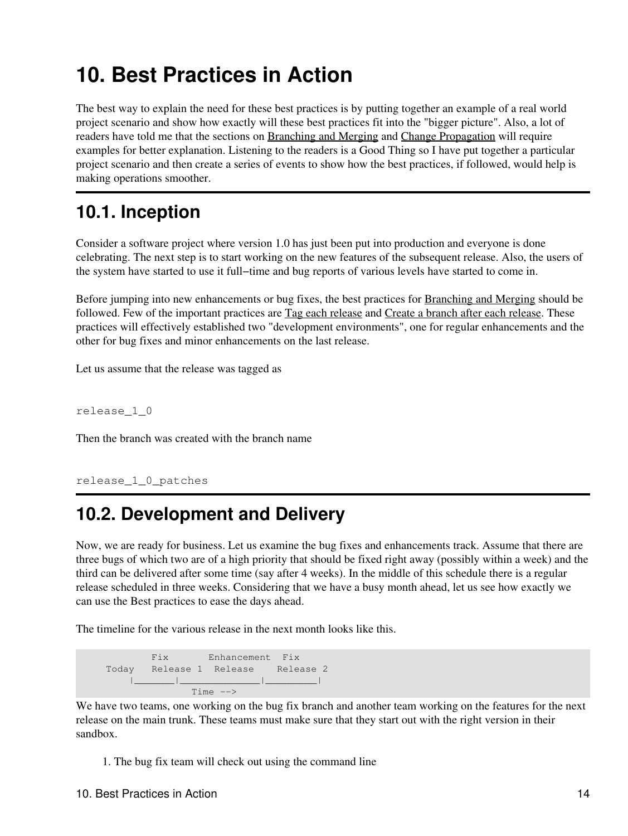## <span id="page-16-0"></span>**10. Best Practices in Action**

The best way to explain the need for these best practices is by putting together an example of a real world project scenario and show how exactly will these best practices fit into the "bigger picture". Also, a lot of readers have told me that the sections on [Branching and Merging](#page-10-0) and [Change Propagation](#page-12-0) will require examples for better explanation. Listening to the readers is a Good Thing so I have put together a particular project scenario and then create a series of events to show how the best practices, if followed, would help is making operations smoother.

#### <span id="page-16-1"></span>**10.1. Inception**

Consider a software project where version 1.0 has just been put into production and everyone is done celebrating. The next step is to start working on the new features of the subsequent release. Also, the users of the system have started to use it full−time and bug reports of various levels have started to come in.

Before jumping into new enhancements or bug fixes, the best practices for [Branching and Merging](#page-10-0) should be followed. Few of the important practices are [Tag each release](#page-10-2) and [Create a branch after each release.](#page-11-0) These practices will effectively established two "development environments", one for regular enhancements and the other for bug fixes and minor enhancements on the last release.

Let us assume that the release was tagged as

release\_1\_0

Then the branch was created with the branch name

```
release_1_0_patches
```
#### <span id="page-16-2"></span>**10.2. Development and Delivery**

Now, we are ready for business. Let us examine the bug fixes and enhancements track. Assume that there are three bugs of which two are of a high priority that should be fixed right away (possibly within a week) and the third can be delivered after some time (say after 4 weeks). In the middle of this schedule there is a regular release scheduled in three weeks. Considering that we have a busy month ahead, let us see how exactly we can use the Best practices to ease the days ahead.

The timeline for the various release in the next month looks like this.

 Fix Enhancement Fix Today Release 1 Release Release 2 |\_\_\_\_\_\_\_|\_\_\_\_\_\_\_\_\_\_\_\_\_\_|\_\_\_\_\_\_\_\_\_| Time −−>

We have two teams, one working on the bug fix branch and another team working on the features for the next release on the main trunk. These teams must make sure that they start out with the right version in their sandbox.

1. The bug fix team will check out using the command line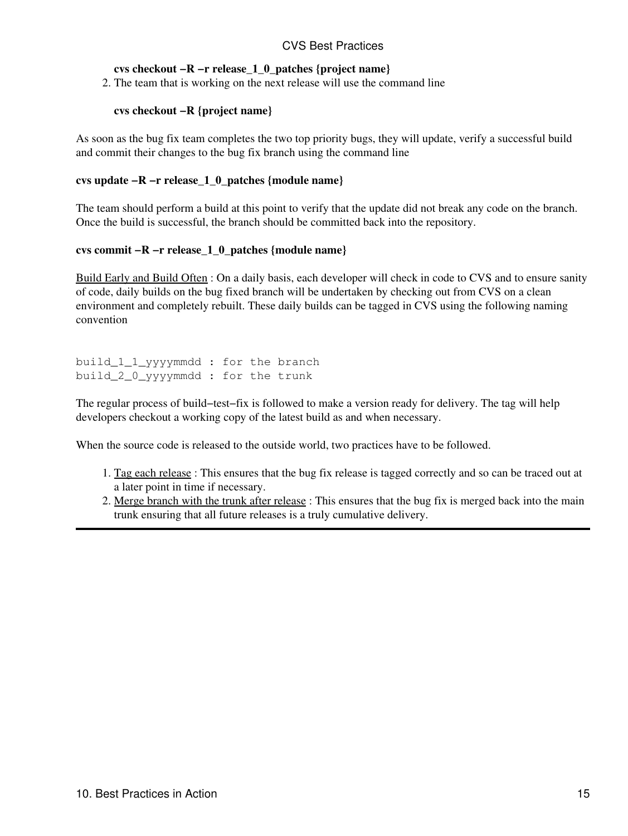#### CVS Best Practices

#### **cvs checkout −R −r release\_1\_0\_patches {project name}**

2. The team that is working on the next release will use the command line

#### **cvs checkout −R {project name}**

As soon as the bug fix team completes the two top priority bugs, they will update, verify a successful build and commit their changes to the bug fix branch using the command line

#### **cvs update −R −r release\_1\_0\_patches {module name}**

The team should perform a build at this point to verify that the update did not break any code on the branch. Once the build is successful, the branch should be committed back into the repository.

#### **cvs commit −R −r release\_1\_0\_patches {module name}**

[Build Early and Build Often](#page-13-1) : On a daily basis, each developer will check in code to CVS and to ensure sanity of code, daily builds on the bug fixed branch will be undertaken by checking out from CVS on a clean environment and completely rebuilt. These daily builds can be tagged in CVS using the following naming convention

```
build_1_1_yyyymmdd : for the branch
build_2_0_yyyymmdd : for the trunk
```
The regular process of build−test−fix is followed to make a version ready for delivery. The tag will help developers checkout a working copy of the latest build as and when necessary.

When the source code is released to the outside world, two practices have to be followed.

- 1. [Tag each release](#page-10-2): This ensures that the bug fix release is tagged correctly and so can be traced out at a later point in time if necessary.
- 2. [Merge branch with the trunk after release](#page-12-1): This ensures that the bug fix is merged back into the main trunk ensuring that all future releases is a truly cumulative delivery.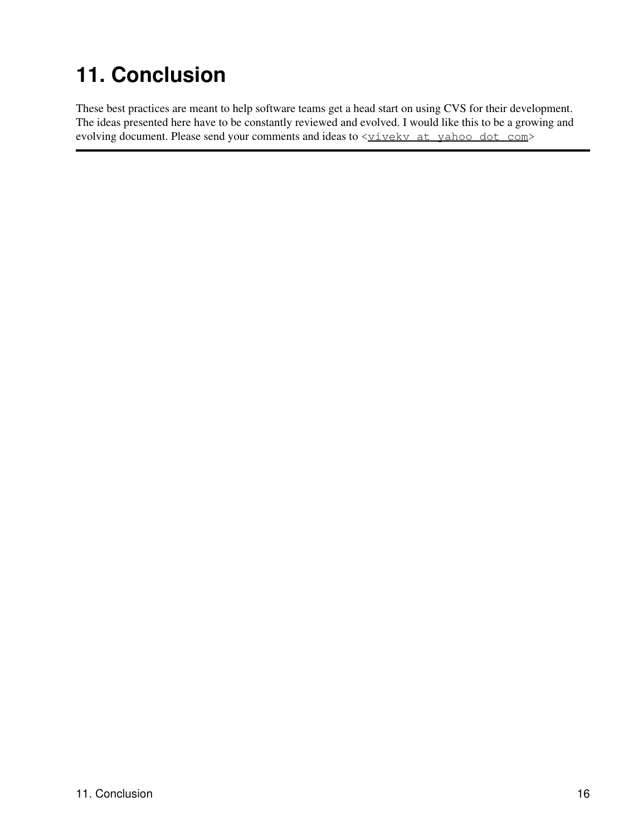# <span id="page-18-0"></span>**11. Conclusion**

These best practices are meant to help software teams get a head start on using CVS for their development. The ideas presented here have to be constantly reviewed and evolved. I would like this to be a growing and evolving document. Please send your comments and ideas to  $\leq$  vivekv at vahoo dot com>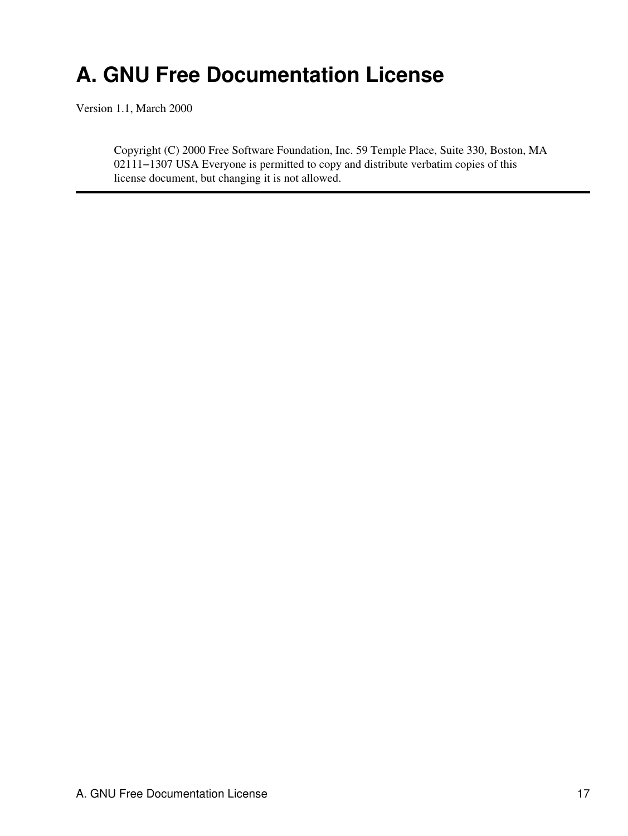## <span id="page-19-0"></span>**A. GNU Free Documentation License**

Version 1.1, March 2000

Copyright (C) 2000 Free Software Foundation, Inc. 59 Temple Place, Suite 330, Boston, MA 02111−1307 USA Everyone is permitted to copy and distribute verbatim copies of this license document, but changing it is not allowed.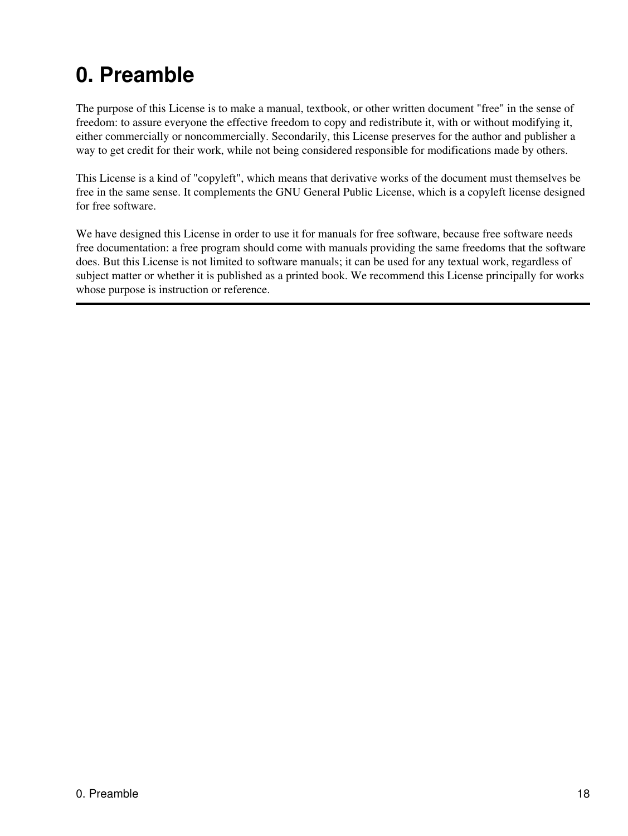## <span id="page-20-0"></span>**0. Preamble**

The purpose of this License is to make a manual, textbook, or other written document "free" in the sense of freedom: to assure everyone the effective freedom to copy and redistribute it, with or without modifying it, either commercially or noncommercially. Secondarily, this License preserves for the author and publisher a way to get credit for their work, while not being considered responsible for modifications made by others.

This License is a kind of "copyleft", which means that derivative works of the document must themselves be free in the same sense. It complements the GNU General Public License, which is a copyleft license designed for free software.

We have designed this License in order to use it for manuals for free software, because free software needs free documentation: a free program should come with manuals providing the same freedoms that the software does. But this License is not limited to software manuals; it can be used for any textual work, regardless of subject matter or whether it is published as a printed book. We recommend this License principally for works whose purpose is instruction or reference.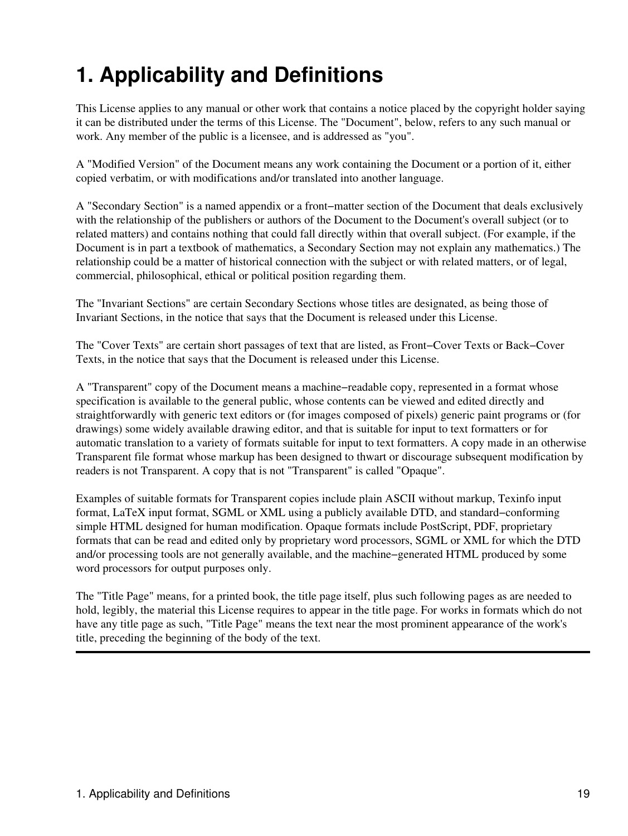# <span id="page-21-0"></span>**1. Applicability and Definitions**

This License applies to any manual or other work that contains a notice placed by the copyright holder saying it can be distributed under the terms of this License. The "Document", below, refers to any such manual or work. Any member of the public is a licensee, and is addressed as "you".

A "Modified Version" of the Document means any work containing the Document or a portion of it, either copied verbatim, or with modifications and/or translated into another language.

A "Secondary Section" is a named appendix or a front−matter section of the Document that deals exclusively with the relationship of the publishers or authors of the Document to the Document's overall subject (or to related matters) and contains nothing that could fall directly within that overall subject. (For example, if the Document is in part a textbook of mathematics, a Secondary Section may not explain any mathematics.) The relationship could be a matter of historical connection with the subject or with related matters, or of legal, commercial, philosophical, ethical or political position regarding them.

The "Invariant Sections" are certain Secondary Sections whose titles are designated, as being those of Invariant Sections, in the notice that says that the Document is released under this License.

The "Cover Texts" are certain short passages of text that are listed, as Front−Cover Texts or Back−Cover Texts, in the notice that says that the Document is released under this License.

A "Transparent" copy of the Document means a machine−readable copy, represented in a format whose specification is available to the general public, whose contents can be viewed and edited directly and straightforwardly with generic text editors or (for images composed of pixels) generic paint programs or (for drawings) some widely available drawing editor, and that is suitable for input to text formatters or for automatic translation to a variety of formats suitable for input to text formatters. A copy made in an otherwise Transparent file format whose markup has been designed to thwart or discourage subsequent modification by readers is not Transparent. A copy that is not "Transparent" is called "Opaque".

Examples of suitable formats for Transparent copies include plain ASCII without markup, Texinfo input format, LaTeX input format, SGML or XML using a publicly available DTD, and standard−conforming simple HTML designed for human modification. Opaque formats include PostScript, PDF, proprietary formats that can be read and edited only by proprietary word processors, SGML or XML for which the DTD and/or processing tools are not generally available, and the machine−generated HTML produced by some word processors for output purposes only.

The "Title Page" means, for a printed book, the title page itself, plus such following pages as are needed to hold, legibly, the material this License requires to appear in the title page. For works in formats which do not have any title page as such, "Title Page" means the text near the most prominent appearance of the work's title, preceding the beginning of the body of the text.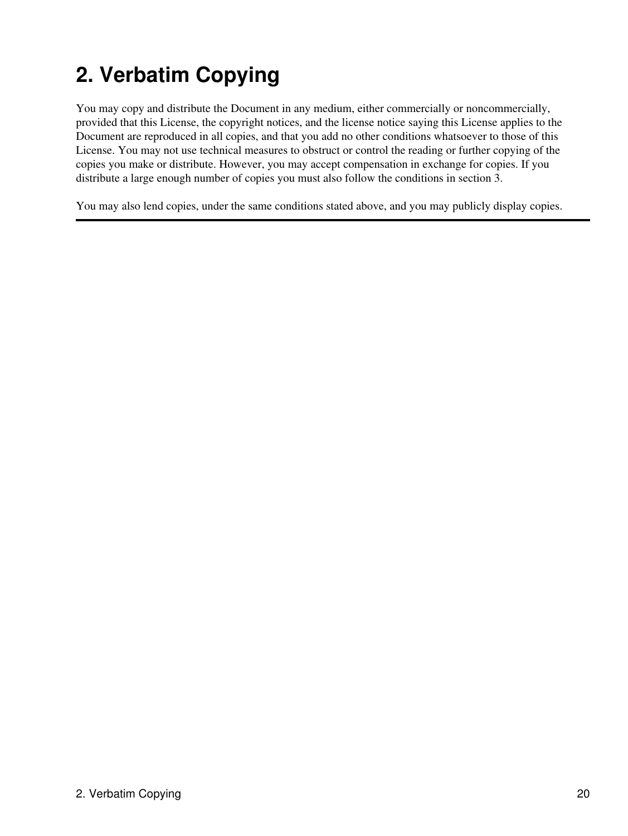# <span id="page-22-0"></span>**2. Verbatim Copying**

You may copy and distribute the Document in any medium, either commercially or noncommercially, provided that this License, the copyright notices, and the license notice saying this License applies to the Document are reproduced in all copies, and that you add no other conditions whatsoever to those of this License. You may not use technical measures to obstruct or control the reading or further copying of the copies you make or distribute. However, you may accept compensation in exchange for copies. If you distribute a large enough number of copies you must also follow the conditions in section 3.

You may also lend copies, under the same conditions stated above, and you may publicly display copies.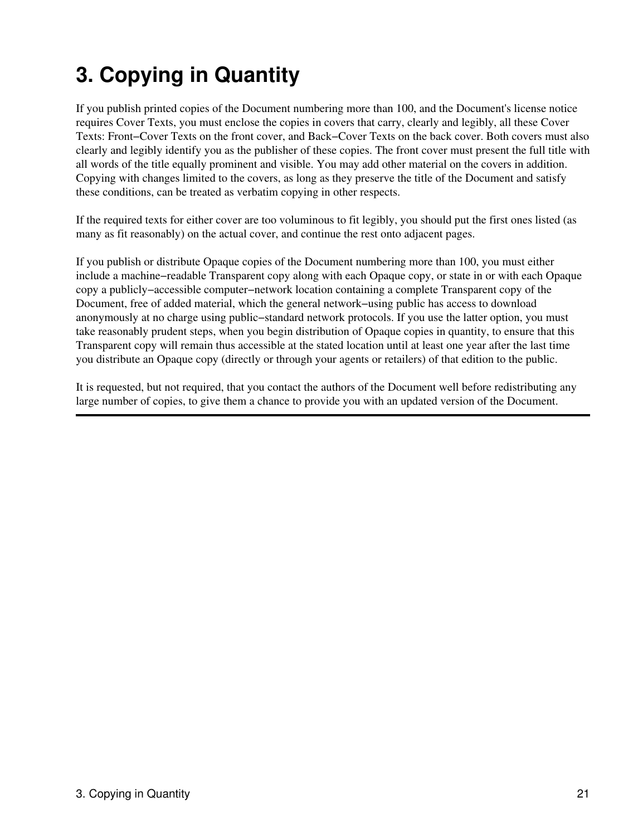# <span id="page-23-0"></span>**3. Copying in Quantity**

If you publish printed copies of the Document numbering more than 100, and the Document's license notice requires Cover Texts, you must enclose the copies in covers that carry, clearly and legibly, all these Cover Texts: Front−Cover Texts on the front cover, and Back−Cover Texts on the back cover. Both covers must also clearly and legibly identify you as the publisher of these copies. The front cover must present the full title with all words of the title equally prominent and visible. You may add other material on the covers in addition. Copying with changes limited to the covers, as long as they preserve the title of the Document and satisfy these conditions, can be treated as verbatim copying in other respects.

If the required texts for either cover are too voluminous to fit legibly, you should put the first ones listed (as many as fit reasonably) on the actual cover, and continue the rest onto adjacent pages.

If you publish or distribute Opaque copies of the Document numbering more than 100, you must either include a machine−readable Transparent copy along with each Opaque copy, or state in or with each Opaque copy a publicly−accessible computer−network location containing a complete Transparent copy of the Document, free of added material, which the general network−using public has access to download anonymously at no charge using public−standard network protocols. If you use the latter option, you must take reasonably prudent steps, when you begin distribution of Opaque copies in quantity, to ensure that this Transparent copy will remain thus accessible at the stated location until at least one year after the last time you distribute an Opaque copy (directly or through your agents or retailers) of that edition to the public.

It is requested, but not required, that you contact the authors of the Document well before redistributing any large number of copies, to give them a chance to provide you with an updated version of the Document.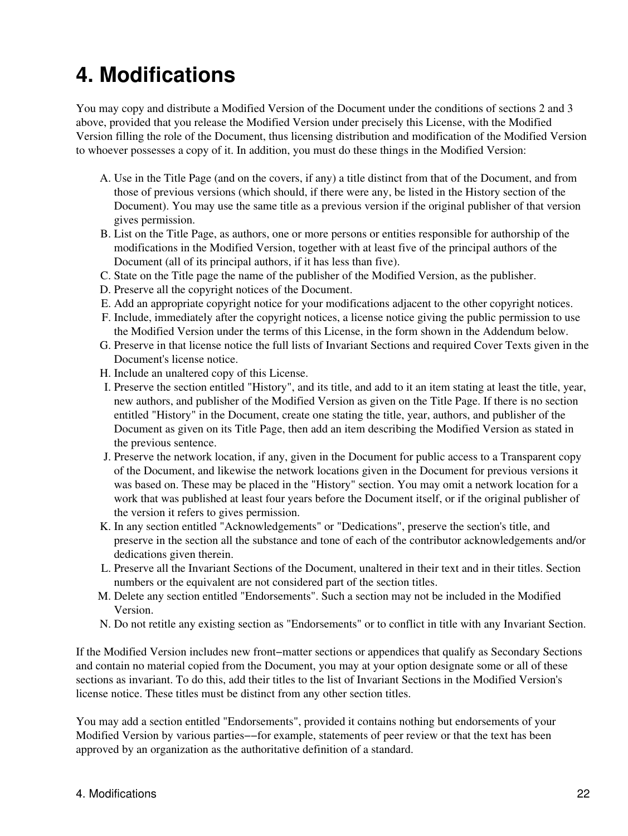## <span id="page-24-0"></span>**4. Modifications**

You may copy and distribute a Modified Version of the Document under the conditions of sections 2 and 3 above, provided that you release the Modified Version under precisely this License, with the Modified Version filling the role of the Document, thus licensing distribution and modification of the Modified Version to whoever possesses a copy of it. In addition, you must do these things in the Modified Version:

- A. Use in the Title Page (and on the covers, if any) a title distinct from that of the Document, and from those of previous versions (which should, if there were any, be listed in the History section of the Document). You may use the same title as a previous version if the original publisher of that version gives permission.
- B. List on the Title Page, as authors, one or more persons or entities responsible for authorship of the modifications in the Modified Version, together with at least five of the principal authors of the Document (all of its principal authors, if it has less than five).
- C. State on the Title page the name of the publisher of the Modified Version, as the publisher.
- D. Preserve all the copyright notices of the Document.
- E. Add an appropriate copyright notice for your modifications adjacent to the other copyright notices.
- F. Include, immediately after the copyright notices, a license notice giving the public permission to use the Modified Version under the terms of this License, in the form shown in the Addendum below.
- G. Preserve in that license notice the full lists of Invariant Sections and required Cover Texts given in the Document's license notice.
- H. Include an unaltered copy of this License.
- I. Preserve the section entitled "History", and its title, and add to it an item stating at least the title, year, new authors, and publisher of the Modified Version as given on the Title Page. If there is no section entitled "History" in the Document, create one stating the title, year, authors, and publisher of the Document as given on its Title Page, then add an item describing the Modified Version as stated in the previous sentence.
- J. Preserve the network location, if any, given in the Document for public access to a Transparent copy of the Document, and likewise the network locations given in the Document for previous versions it was based on. These may be placed in the "History" section. You may omit a network location for a work that was published at least four years before the Document itself, or if the original publisher of the version it refers to gives permission.
- K. In any section entitled "Acknowledgements" or "Dedications", preserve the section's title, and preserve in the section all the substance and tone of each of the contributor acknowledgements and/or dedications given therein.
- L. Preserve all the Invariant Sections of the Document, unaltered in their text and in their titles. Section numbers or the equivalent are not considered part of the section titles.
- M. Delete any section entitled "Endorsements". Such a section may not be included in the Modified Version.
- N. Do not retitle any existing section as "Endorsements" or to conflict in title with any Invariant Section.

If the Modified Version includes new front−matter sections or appendices that qualify as Secondary Sections and contain no material copied from the Document, you may at your option designate some or all of these sections as invariant. To do this, add their titles to the list of Invariant Sections in the Modified Version's license notice. These titles must be distinct from any other section titles.

You may add a section entitled "Endorsements", provided it contains nothing but endorsements of your Modified Version by various parties−−for example, statements of peer review or that the text has been approved by an organization as the authoritative definition of a standard.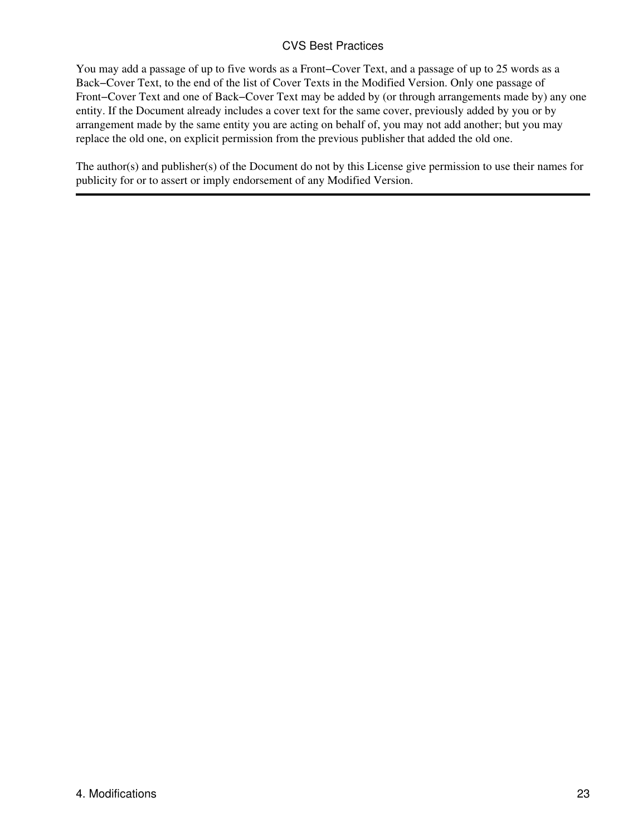#### CVS Best Practices

You may add a passage of up to five words as a Front−Cover Text, and a passage of up to 25 words as a Back−Cover Text, to the end of the list of Cover Texts in the Modified Version. Only one passage of Front−Cover Text and one of Back−Cover Text may be added by (or through arrangements made by) any one entity. If the Document already includes a cover text for the same cover, previously added by you or by arrangement made by the same entity you are acting on behalf of, you may not add another; but you may replace the old one, on explicit permission from the previous publisher that added the old one.

The author(s) and publisher(s) of the Document do not by this License give permission to use their names for publicity for or to assert or imply endorsement of any Modified Version.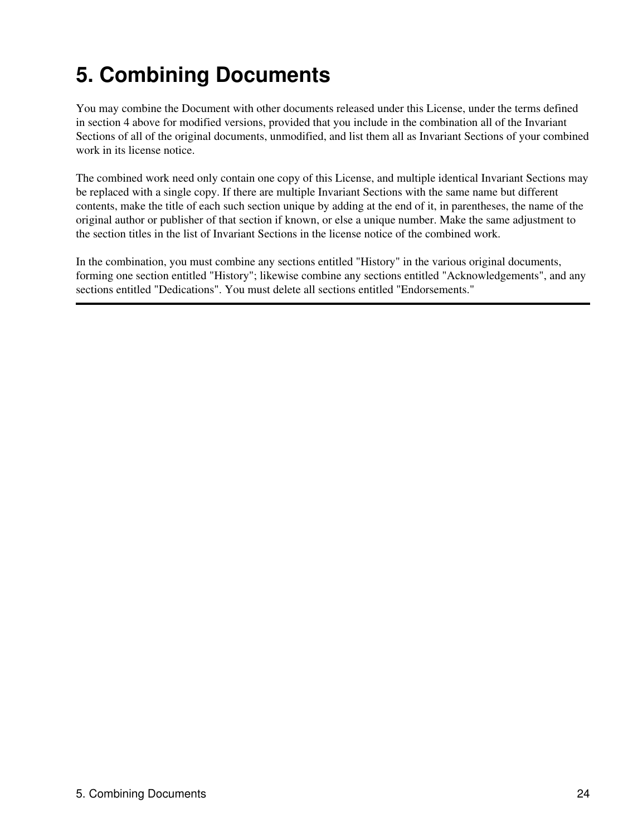# <span id="page-26-0"></span>**5. Combining Documents**

You may combine the Document with other documents released under this License, under the terms defined in section 4 above for modified versions, provided that you include in the combination all of the Invariant Sections of all of the original documents, unmodified, and list them all as Invariant Sections of your combined work in its license notice.

The combined work need only contain one copy of this License, and multiple identical Invariant Sections may be replaced with a single copy. If there are multiple Invariant Sections with the same name but different contents, make the title of each such section unique by adding at the end of it, in parentheses, the name of the original author or publisher of that section if known, or else a unique number. Make the same adjustment to the section titles in the list of Invariant Sections in the license notice of the combined work.

In the combination, you must combine any sections entitled "History" in the various original documents, forming one section entitled "History"; likewise combine any sections entitled "Acknowledgements", and any sections entitled "Dedications". You must delete all sections entitled "Endorsements."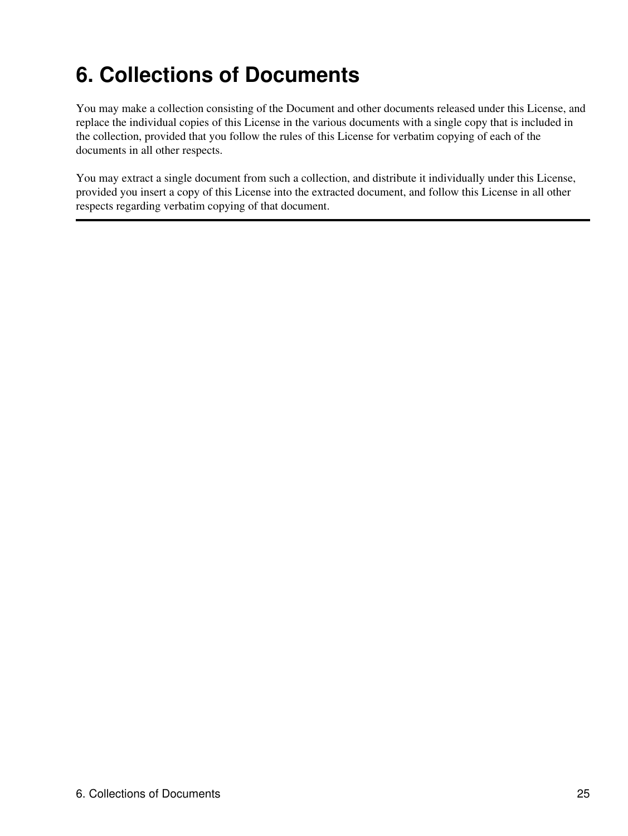## <span id="page-27-0"></span>**6. Collections of Documents**

You may make a collection consisting of the Document and other documents released under this License, and replace the individual copies of this License in the various documents with a single copy that is included in the collection, provided that you follow the rules of this License for verbatim copying of each of the documents in all other respects.

You may extract a single document from such a collection, and distribute it individually under this License, provided you insert a copy of this License into the extracted document, and follow this License in all other respects regarding verbatim copying of that document.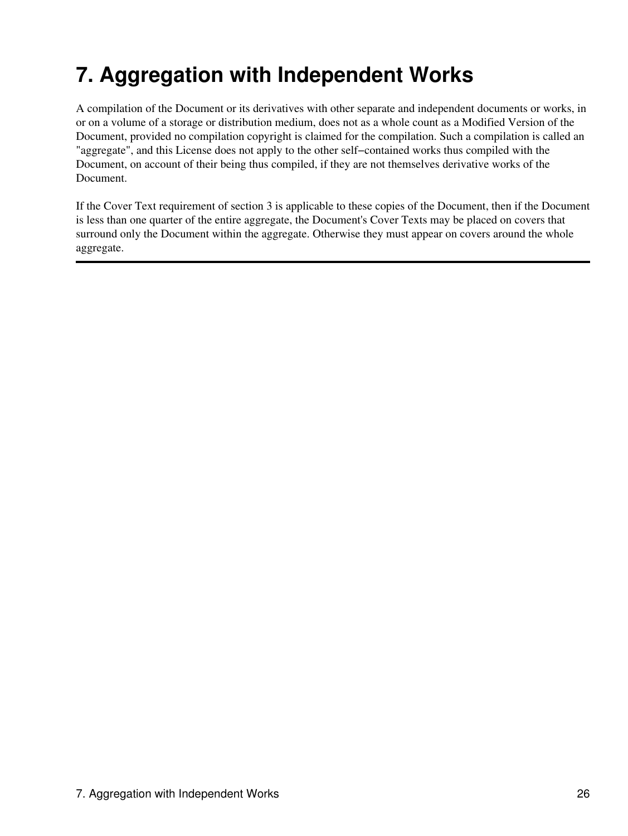# <span id="page-28-0"></span>**7. Aggregation with Independent Works**

A compilation of the Document or its derivatives with other separate and independent documents or works, in or on a volume of a storage or distribution medium, does not as a whole count as a Modified Version of the Document, provided no compilation copyright is claimed for the compilation. Such a compilation is called an "aggregate", and this License does not apply to the other self−contained works thus compiled with the Document, on account of their being thus compiled, if they are not themselves derivative works of the Document.

If the Cover Text requirement of section 3 is applicable to these copies of the Document, then if the Document is less than one quarter of the entire aggregate, the Document's Cover Texts may be placed on covers that surround only the Document within the aggregate. Otherwise they must appear on covers around the whole aggregate.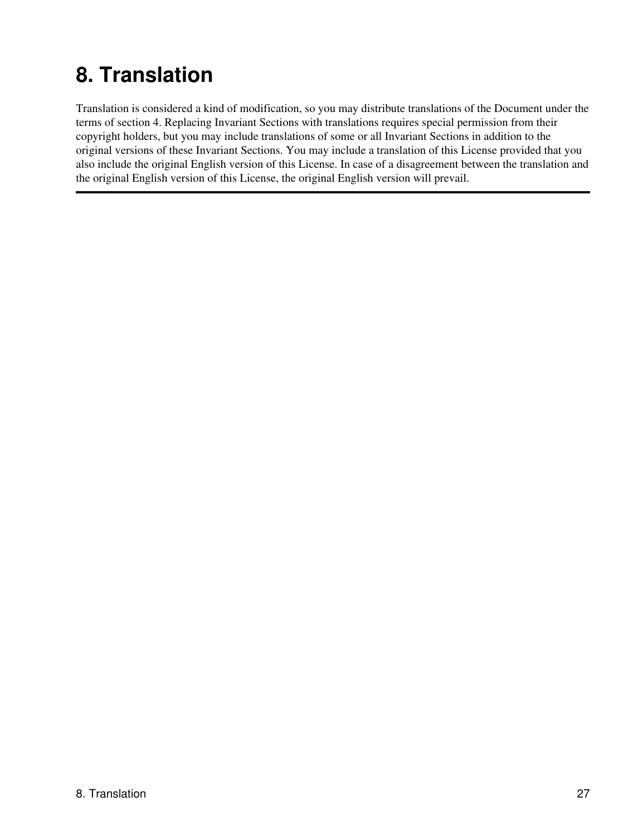# <span id="page-29-0"></span>**8. Translation**

Translation is considered a kind of modification, so you may distribute translations of the Document under the terms of section 4. Replacing Invariant Sections with translations requires special permission from their copyright holders, but you may include translations of some or all Invariant Sections in addition to the original versions of these Invariant Sections. You may include a translation of this License provided that you also include the original English version of this License. In case of a disagreement between the translation and the original English version of this License, the original English version will prevail.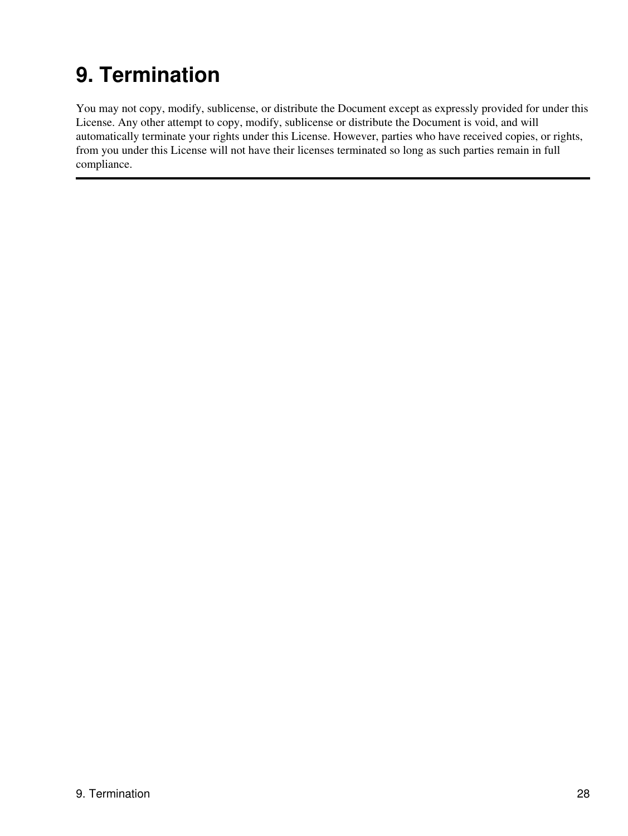# <span id="page-30-0"></span>**9. Termination**

You may not copy, modify, sublicense, or distribute the Document except as expressly provided for under this License. Any other attempt to copy, modify, sublicense or distribute the Document is void, and will automatically terminate your rights under this License. However, parties who have received copies, or rights, from you under this License will not have their licenses terminated so long as such parties remain in full compliance.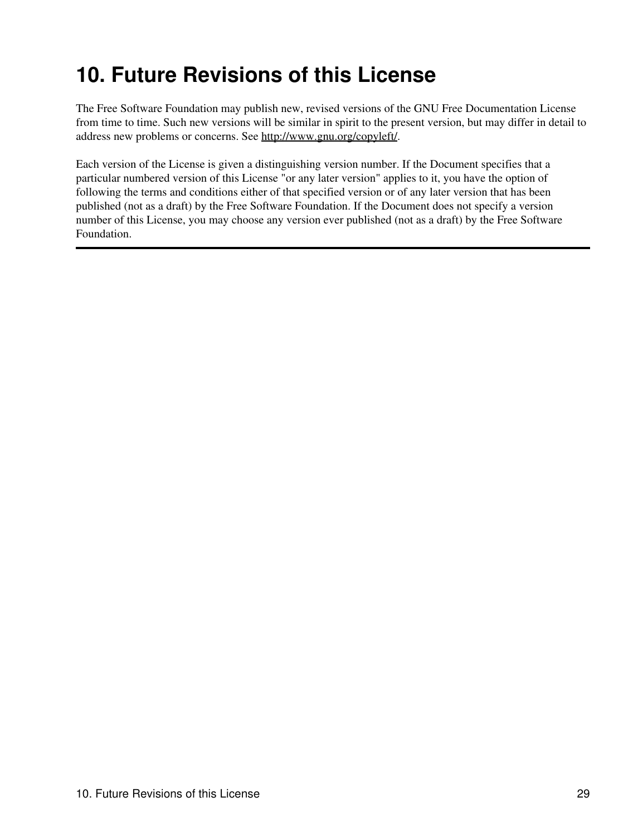## <span id="page-31-0"></span>**10. Future Revisions of this License**

The Free Software Foundation may publish new, revised versions of the GNU Free Documentation License from time to time. Such new versions will be similar in spirit to the present version, but may differ in detail to address new problems or concerns. See [http://www.gnu.org/copyleft/.](http://www.gnu.org/copyleft/)

Each version of the License is given a distinguishing version number. If the Document specifies that a particular numbered version of this License "or any later version" applies to it, you have the option of following the terms and conditions either of that specified version or of any later version that has been published (not as a draft) by the Free Software Foundation. If the Document does not specify a version number of this License, you may choose any version ever published (not as a draft) by the Free Software Foundation.